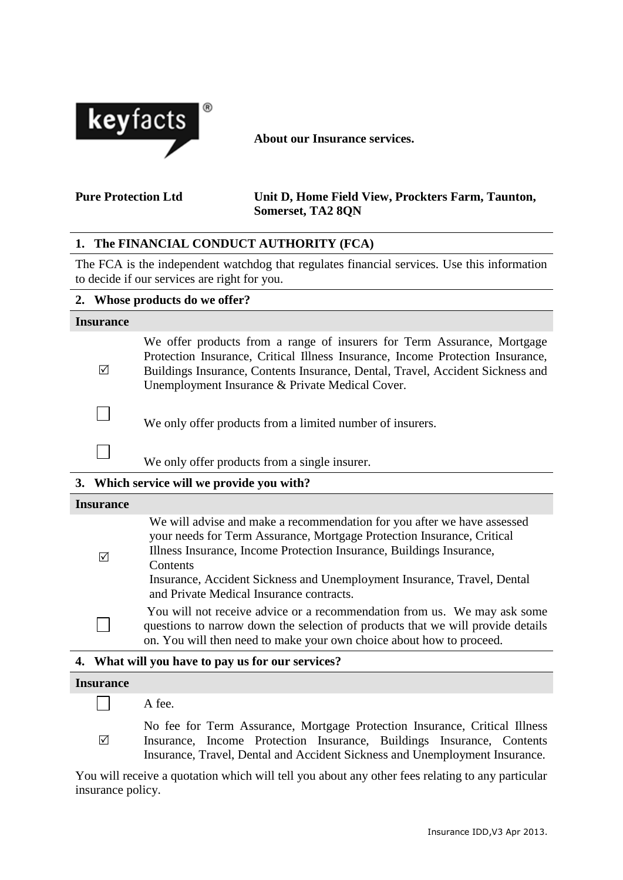

**About our Insurance services.**

## **Pure Protection Ltd Unit D, Home Field View, Prockters Farm, Taunton, Somerset, TA2 8QN**

# **1. The FINANCIAL CONDUCT AUTHORITY (FCA)**

The FCA is the independent watchdog that regulates financial services. Use this information to decide if our services are right for you.

|                  |   | 2. Whose products do we offer?                                                                                                                                                                                                                                                                 |  |
|------------------|---|------------------------------------------------------------------------------------------------------------------------------------------------------------------------------------------------------------------------------------------------------------------------------------------------|--|
| <b>Insurance</b> |   |                                                                                                                                                                                                                                                                                                |  |
|                  | ⊠ | We offer products from a range of insurers for Term Assurance, Mortgage<br>Protection Insurance, Critical Illness Insurance, Income Protection Insurance,<br>Buildings Insurance, Contents Insurance, Dental, Travel, Accident Sickness and<br>Unemployment Insurance & Private Medical Cover. |  |
|                  |   | We only offer products from a limited number of insurers.                                                                                                                                                                                                                                      |  |
|                  |   | We only offer products from a single insurer.                                                                                                                                                                                                                                                  |  |
|                  |   | 3. Which service will we provide you with?                                                                                                                                                                                                                                                     |  |
| <b>Insurance</b> |   |                                                                                                                                                                                                                                                                                                |  |

| ⊠ | We will advise and make a recommendation for you after we have assessed<br>your needs for Term Assurance, Mortgage Protection Insurance, Critical<br>Illness Insurance, Income Protection Insurance, Buildings Insurance,<br>Contents<br>Insurance, Accident Sickness and Unemployment Insurance, Travel, Dental<br>and Private Medical Insurance contracts. |  |  |
|---|--------------------------------------------------------------------------------------------------------------------------------------------------------------------------------------------------------------------------------------------------------------------------------------------------------------------------------------------------------------|--|--|
|   | You will not receive advice or a recommendation from us. We may ask some<br>questions to narrow down the selection of products that we will provide details<br>on. You will then need to make your own choice about how to proceed.                                                                                                                          |  |  |
|   |                                                                                                                                                                                                                                                                                                                                                              |  |  |

# **4. What will you have to pay us for our services?**

#### **Insurance**   $\mathcal{L}_{\mathcal{A}}$ A fee. No fee for Term Assurance, Mortgage Protection Insurance, Critical Illness  $\triangledown$ Insurance, Income Protection Insurance, Buildings Insurance, Contents

Insurance, Travel, Dental and Accident Sickness and Unemployment Insurance.

You will receive a quotation which will tell you about any other fees relating to any particular insurance policy.